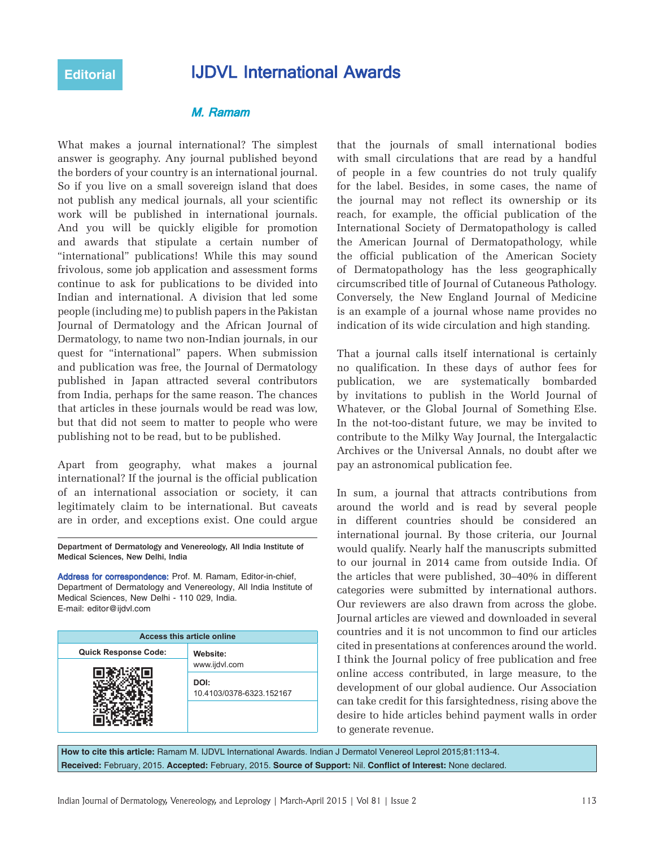# **IJDVL International Awards**

# M. Ramam

What makes a journal international? The simplest answer is geography. Any journal published beyond the borders of your country is an international journal. So if you live on a small sovereign island that does not publish any medical journals, all your scientific work will be published in international journals. And you will be quickly eligible for promotion and awards that stipulate a certain number of "international" publications! While this may sound frivolous, some job application and assessment forms continue to ask for publications to be divided into Indian and international. A division that led some people (including me) to publish papers in the Pakistan Journal of Dermatology and the African Journal of Dermatology, to name two non-Indian journals, in our quest for "international" papers. When submission and publication was free, the Journal of Dermatology published in Japan attracted several contributors from India, perhaps for the same reason. The chances that articles in these journals would be read was low, but that did not seem to matter to people who were publishing not to be read, but to be published.

Apart from geography, what makes a journal international? If the journal is the official publication of an international association or society, it can legitimately claim to be international. But caveats are in order, and exceptions exist. One could argue

Department of Dermatology and Venereology, All India Institute of Medical Sciences, New Delhi, India

Address for correspondence: Prof. M. Ramam, Editor-in-chief, Department of Dermatology and Venereology, All India Institute of Medical Sciences, New Delhi - 110 029, India. E-mail: editor@ijdvl.com

| <b>Access this article online</b> |                                  |
|-----------------------------------|----------------------------------|
| <b>Quick Response Code:</b>       | Website:                         |
|                                   | www.ijdvl.com                    |
|                                   | DOI:<br>10.4103/0378-6323.152167 |
|                                   |                                  |

that the journals of small international bodies with small circulations that are read by a handful of people in a few countries do not truly qualify for the label. Besides, in some cases, the name of the journal may not reflect its ownership or its reach, for example, the official publication of the International Society of Dermatopathology is called the American Journal of Dermatopathology, while the official publication of the American Society of Dermatopathology has the less geographically circumscribed title of Journal of Cutaneous Pathology. Conversely, the New England Journal of Medicine is an example of a journal whose name provides no indication of its wide circulation and high standing.

That a journal calls itself international is certainly no qualification. In these days of author fees for publication, we are systematically bombarded by invitations to publish in the World Journal of Whatever, or the Global Journal of Something Else. In the not-too-distant future, we may be invited to contribute to the Milky Way Journal, the Intergalactic Archives or the Universal Annals, no doubt after we pay an astronomical publication fee.

In sum, a journal that attracts contributions from around the world and is read by several people in different countries should be considered an international journal. By those criteria, our Journal would qualify. Nearly half the manuscripts submitted to our journal in 2014 came from outside India. Of the articles that were published, 30–40% in different categories were submitted by international authors. Our reviewers are also drawn from across the globe. Journal articles are viewed and downloaded in several countries and it is not uncommon to find our articles cited in presentations at conferences around the world. I think the Journal policy of free publication and free online access contributed, in large measure, to the development of our global audience. Our Association can take credit for this farsightedness, rising above the desire to hide articles behind payment walls in order to generate revenue.

**How to cite this article:** Ramam M. IJDVL International Awards. Indian J Dermatol Venereol Leprol 2015;81:113-4. **Received:** February, 2015. **Accepted:** February, 2015. **Source of Support:** Nil. **Confl ict of Interest:** None declared.